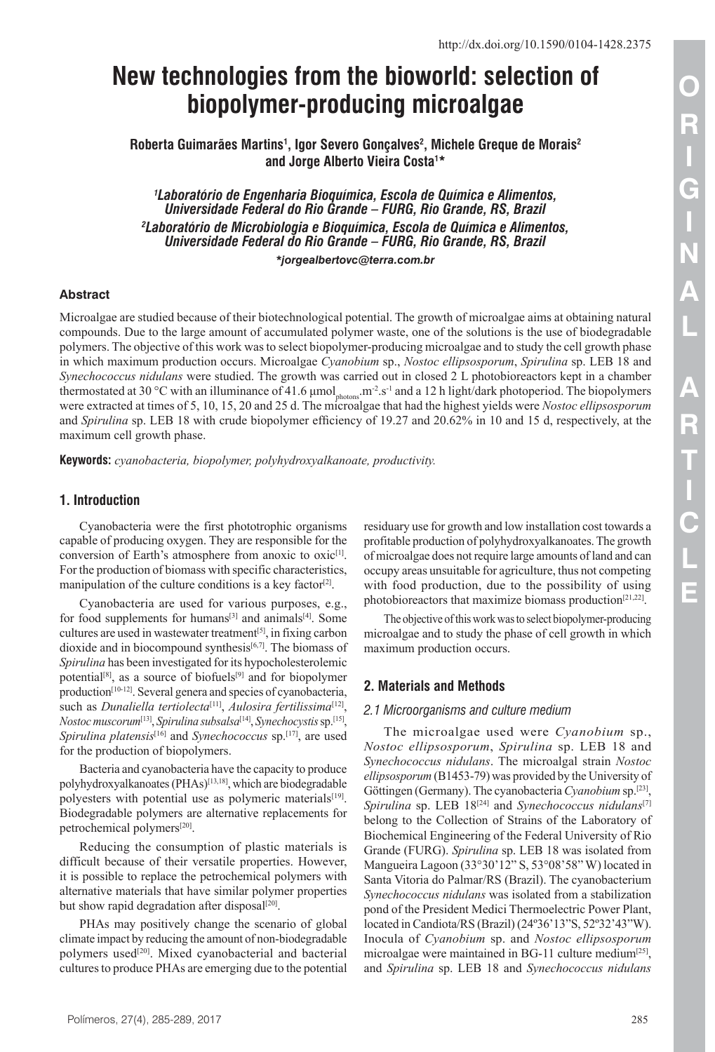# **New technologies from the bioworld: selection of biopolymer-producing microalgae**

**Roberta Guimarães Martins1 , Igor Severo Gonçalves2 , Michele Greque de Morais2 and Jorge Alberto Vieira Costa1 \***

*1 Laboratório de Engenharia Bioquímica, Escola de Química e Alimentos, Universidade Federal do Rio Grande – FURG, Rio Grande, RS, Brazil 2 Laboratório de Microbiologia e Bioquímica, Escola de Química e Alimentos, Universidade Federal do Rio Grande – FURG, Rio Grande, RS, Brazil \*jorgealbertovc@terra.com.br*

#### **Abstract**

Microalgae are studied because of their biotechnological potential. The growth of microalgae aims at obtaining natural compounds. Due to the large amount of accumulated polymer waste, one of the solutions is the use of biodegradable polymers. The objective of this work was to select biopolymer-producing microalgae and to study the cell growth phase in which maximum production occurs. Microalgae *Cyanobium* sp., *Nostoc ellipsosporum*, *Spirulina* sp. LEB 18 and *Synechococcus nidulans* were studied. The growth was carried out in closed 2 L photobioreactors kept in a chamber thermostated at 30 °C with an illuminance of 41.6  $\mu$ mol<sub>photons</sub>.m<sup>-2</sup>.s<sup>-1</sup> and a 12 h light/dark photoperiod. The biopolymers were extracted at times of 5, 10, 15, 20 and 25 d. The microalgae that had the highest yields were *Nostoc ellipsosporum* and *Spirulina* sp. LEB 18 with crude biopolymer efficiency of 19.27 and 20.62% in 10 and 15 d, respectively, at the maximum cell growth phase.

**Keywords:** *cyanobacteria, biopolymer, polyhydroxyalkanoate, productivity.*

#### **1. Introduction**

Cyanobacteria were the first phototrophic organisms capable of producing oxygen. They are responsible for the conversion of Earth's atmosphere from anoxic to oxic<sup>[1]</sup>. For the production of biomass with specific characteristics, manipulation of the culture conditions is a key factor<sup>[2]</sup>.

Cyanobacteria are used for various purposes, e.g., for food supplements for humans<sup>[3]</sup> and animals<sup>[4]</sup>. Some cultures are used in wastewater treatment<sup>[5]</sup>, in fixing carbon dioxide and in biocompound synthesis $[6,7]$ . The biomass of *Spirulina* has been investigated for its hypocholesterolemic potential<sup>[8]</sup>, as a source of biofuels<sup>[9]</sup> and for biopolymer production<sup>[10-12]</sup>. Several genera and species of cyanobacteria, such as *Dunaliella tertiolecta*<sup>[11]</sup>, *Aulosira fertilissima*<sup>[12]</sup>, *Nostoc muscorum*[13] , *Spirulina subsalsa*[14] , *Synechocystis*sp.[15] , Spirulina platensis<sup>[16]</sup> and *Synechococcus* sp.<sup>[17]</sup>, are used for the production of biopolymers.

Bacteria and cyanobacteria have the capacity to produce polyhydroxyalkanoates (PHAs)<sup>[13,18]</sup>, which are biodegradable polyesters with potential use as polymeric materials<sup>[19]</sup>. Biodegradable polymers are alternative replacements for petrochemical polymers<sup>[20]</sup>.

Reducing the consumption of plastic materials is difficult because of their versatile properties. However, it is possible to replace the petrochemical polymers with alternative materials that have similar polymer properties but show rapid degradation after disposal<sup>[20]</sup>.

PHAs may positively change the scenario of global climate impact by reducing the amount of non-biodegradable polymers used<sup>[20]</sup>. Mixed cyanobacterial and bacterial cultures to produce PHAs are emerging due to the potential

residuary use for growth and low installation cost towards a profitable production of polyhydroxyalkanoates. The growth of microalgae does not require large amounts of land and can occupy areas unsuitable for agriculture, thus not competing with food production, due to the possibility of using photobioreactors that maximize biomass production<sup>[21,22]</sup>.

The objective of this work was to select biopolymer-producing microalgae and to study the phase of cell growth in which maximum production occurs.

#### **2. Materials and Methods**

#### *2.1 Microorganisms and culture medium*

The microalgae used were *Cyanobium* sp., *Nostoc ellipsosporum*, *Spirulina* sp. LEB 18 and *Synechococcus nidulans*. The microalgal strain *Nostoc ellipsosporum* (B1453-79) was provided by the University of Göttingen (Germany). The cyanobacteria *Cyanobium* sp.<sup>[23]</sup>, Spirulina sp. LEB 18<sup>[24]</sup> and *Synechococcus nidulans*<sup>[7]</sup> belong to the Collection of Strains of the Laboratory of Biochemical Engineering of the Federal University of Rio Grande (FURG). *Spirulina* sp. LEB 18 was isolated from Mangueira Lagoon (33°30'12" S, 53°08'58" W) located in Santa Vitoria do Palmar/RS (Brazil). The cyanobacterium *Synechococcus nidulans* was isolated from a stabilization pond of the President Medici Thermoelectric Power Plant, located in Candiota/RS (Brazil) (24º36'13"S, 52º32'43"W). Inocula of *Cyanobium* sp. and *Nostoc ellipsosporum* microalgae were maintained in BG-11 culture medium $[25]$ , and *Spirulina* sp. LEB 18 and *Synechococcus nidulans*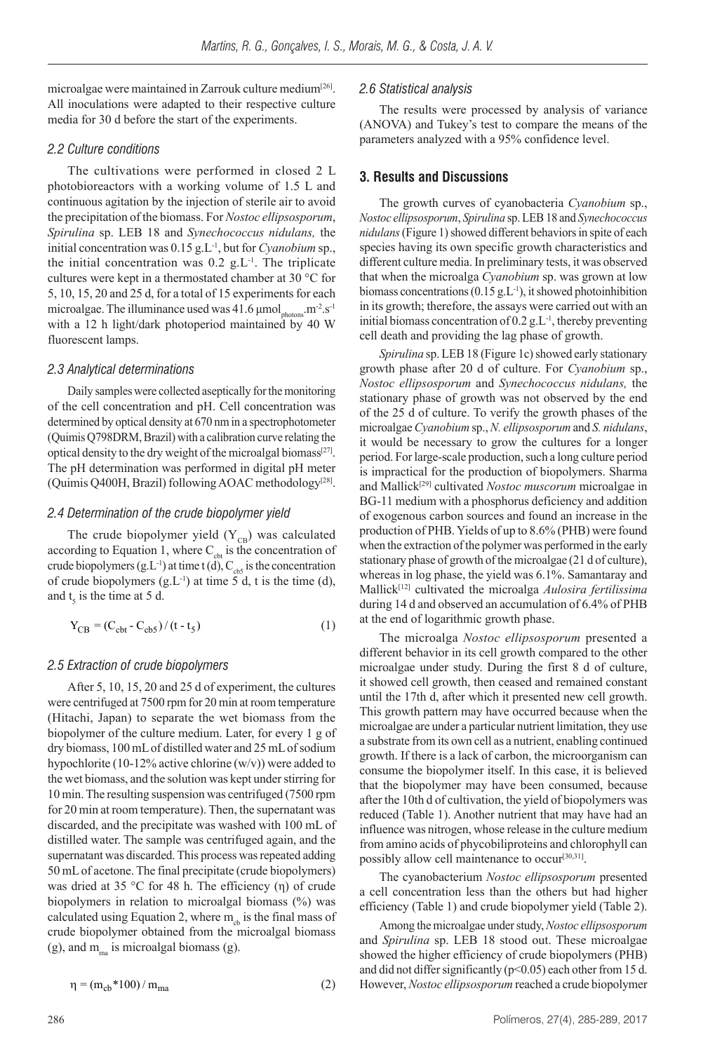microalgae were maintained in Zarrouk culture medium<sup>[26]</sup>. All inoculations were adapted to their respective culture media for 30 d before the start of the experiments.

#### *2.2 Culture conditions*

The cultivations were performed in closed 2 L photobioreactors with a working volume of 1.5 L and continuous agitation by the injection of sterile air to avoid the precipitation of the biomass. For *Nostoc ellipsosporum*, *Spirulina* sp. LEB 18 and *Synechococcus nidulans,* the initial concentration was 0.15 g.L-1, but for *Cyanobium* sp., the initial concentration was  $0.2$  g.L<sup>-1</sup>. The triplicate cultures were kept in a thermostated chamber at 30 °C for 5, 10, 15, 20 and 25 d, for a total of 15 experiments for each microalgae. The illuminance used was  $41.6 \mu$ mol<sub>photons</sub>.m<sup>-2</sup>.s<sup>-1</sup> with a 12 h light/dark photoperiod maintained by 40 W fluorescent lamps.

#### *2.3 Analytical determinations*

Daily samples were collected aseptically for the monitoring of the cell concentration and pH. Cell concentration was determined by optical density at 670 nm in a spectrophotometer (Quimis Q798DRM, Brazil) with a calibration curve relating the optical density to the dry weight of the microalgal biomass<sup>[27]</sup>. The pH determination was performed in digital pH meter (Quimis Q400H, Brazil) following AOAC methodology<sup>[28]</sup>.

#### *2.4 Determination of the crude biopolymer yield*

The crude biopolymer yield  $(Y_{CB})$  was calculated according to Equation 1, where  $C<sub>cbt</sub>$  is the concentration of crude biopolymers (g.L<sup>-1</sup>) at time t (d),  $C_{\text{obs}}$  is the concentration of crude biopolymers  $(g<sub>L<sup>-1</sup></sub>)$  at time 5 d, t is the time (d), and  $t_5$  is the time at 5 d.

$$
Y_{CB} = (C_{cbt} - C_{cb5})/(t - t_5)
$$
 (1)

#### *2.5 Extraction of crude biopolymers*

After 5, 10, 15, 20 and 25 d of experiment, the cultures were centrifuged at 7500 rpm for 20 min at room temperature (Hitachi, Japan) to separate the wet biomass from the biopolymer of the culture medium. Later, for every 1 g of dry biomass, 100 mL of distilled water and 25 mL of sodium hypochlorite (10-12% active chlorine  $(w/v)$ ) were added to the wet biomass, and the solution was kept under stirring for 10 min. The resulting suspension was centrifuged (7500 rpm for 20 min at room temperature). Then, the supernatant was discarded, and the precipitate was washed with 100 mL of distilled water. The sample was centrifuged again, and the supernatant was discarded. This process was repeated adding 50 mL of acetone. The final precipitate (crude biopolymers) was dried at 35 °C for 48 h. The efficiency (η) of crude biopolymers in relation to microalgal biomass (%) was calculated using Equation 2, where  $m<sub>ch</sub>$  is the final mass of crude biopolymer obtained from the microalgal biomass (g), and  $m_{mg}$  is microalgal biomass (g).

$$
\eta = (m_{cb} * 100) / m_{ma} \tag{2}
$$

#### *2.6 Statistical analysis*

The results were processed by analysis of variance (ANOVA) and Tukey's test to compare the means of the parameters analyzed with a 95% confidence level.

#### **3. Results and Discussions**

The growth curves of cyanobacteria *Cyanobium* sp., *Nostoc ellipsosporum*, *Spirulina* sp. LEB 18 and *Synechococcus nidulans* (Figure 1) showed different behaviors in spite of each species having its own specific growth characteristics and different culture media. In preliminary tests, it was observed that when the microalga *Cyanobium* sp. was grown at low biomass concentrations  $(0.15 \text{ g.L}^{-1})$ , it showed photoinhibition in its growth; therefore, the assays were carried out with an initial biomass concentration of  $0.2$  g.L<sup>-1</sup>, thereby preventing cell death and providing the lag phase of growth.

*Spirulina* sp. LEB 18 (Figure 1c) showed early stationary growth phase after 20 d of culture. For *Cyanobium* sp., *Nostoc ellipsosporum* and *Synechococcus nidulans,* the stationary phase of growth was not observed by the end of the 25 d of culture. To verify the growth phases of the microalgae *Cyanobium* sp., *N. ellipsosporum* and *S. nidulans*, it would be necessary to grow the cultures for a longer period. For large-scale production, such a long culture period is impractical for the production of biopolymers. Sharma and Mallick<sup>[29]</sup> cultivated *Nostoc muscorum* microalgae in BG-11 medium with a phosphorus deficiency and addition of exogenous carbon sources and found an increase in the production of PHB. Yields of up to 8.6% (PHB) were found when the extraction of the polymer was performed in the early stationary phase of growth of the microalgae (21 d of culture), whereas in log phase, the yield was 6.1%. Samantaray and Mallick[12] cultivated the microalga *Aulosira fertilissima* during 14 d and observed an accumulation of 6.4% of PHB at the end of logarithmic growth phase.

The microalga *Nostoc ellipsosporum* presented a different behavior in its cell growth compared to the other microalgae under study. During the first 8 d of culture, it showed cell growth, then ceased and remained constant until the 17th d, after which it presented new cell growth. This growth pattern may have occurred because when the microalgae are under a particular nutrient limitation, they use a substrate from its own cell as a nutrient, enabling continued growth. If there is a lack of carbon, the microorganism can consume the biopolymer itself. In this case, it is believed that the biopolymer may have been consumed, because after the 10th d of cultivation, the yield of biopolymers was reduced (Table 1). Another nutrient that may have had an influence was nitrogen, whose release in the culture medium from amino acids of phycobiliproteins and chlorophyll can possibly allow cell maintenance to occur<sup>[30,31]</sup>.

The cyanobacterium *Nostoc ellipsosporum* presented a cell concentration less than the others but had higher efficiency (Table 1) and crude biopolymer yield (Table 2).

Among the microalgae under study, *Nostoc ellipsosporum* and *Spirulina* sp. LEB 18 stood out. These microalgae showed the higher efficiency of crude biopolymers (PHB) and did not differ significantly (p<0.05) each other from 15 d. However, *Nostoc ellipsosporum* reached a crude biopolymer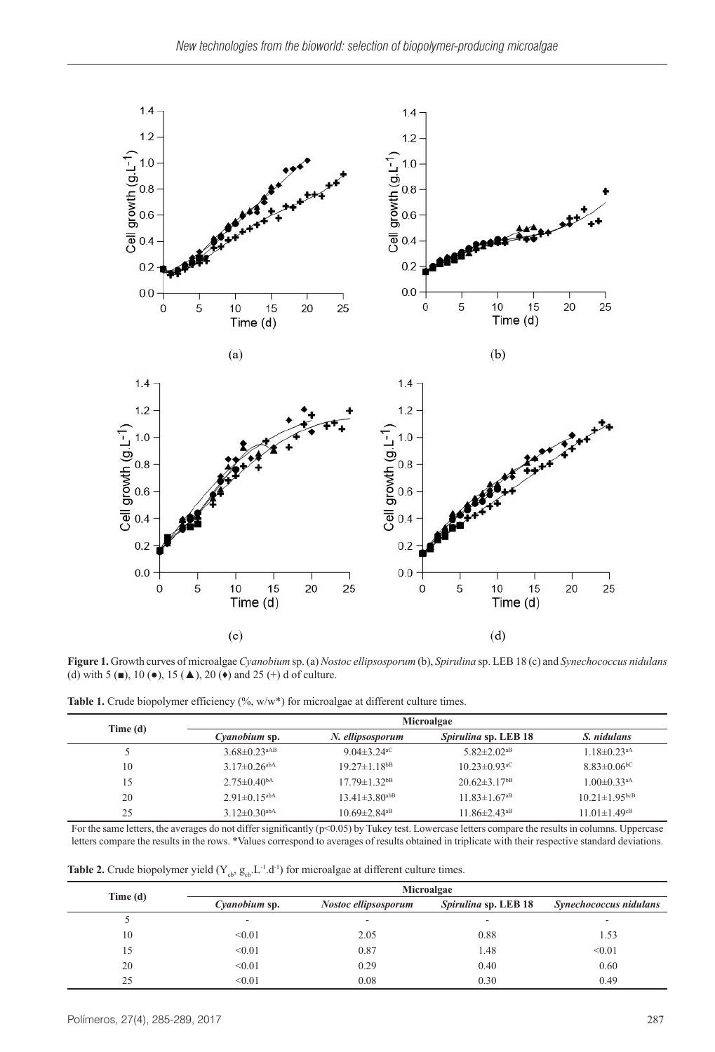

**Figure 1.** Growth curves of microalgae *Cyanobium* sp. (a) *Nostoc ellipsosporum* (b), *Spirulina* sp. LEB 18 (c) and *Synechococcus nidulans* (d) with 5 ( $\blacksquare$ ), 10 ( $\lozenge$ ), 15 ( $\spadesuit$ ), 20 ( $\spadesuit$ ) and 25 (+) d of culture.

|  |  |  |  |  |  |  | <b>Table 1.</b> Crude biopolymer efficiency $(\%$ , $w/w^*)$ for microalgae at different culture times. |  |
|--|--|--|--|--|--|--|---------------------------------------------------------------------------------------------------------|--|
|--|--|--|--|--|--|--|---------------------------------------------------------------------------------------------------------|--|

| Time (d) | Microalgae                     |                                |                                |                                 |  |  |  |
|----------|--------------------------------|--------------------------------|--------------------------------|---------------------------------|--|--|--|
|          | Cyanobium sp.                  | N. ellipsosporum               | <i>Spirulina</i> sp. LEB 18    | S. nidulans                     |  |  |  |
|          | $3.68 \pm 0.23$ <sup>aAB</sup> | 9.04 $\pm$ 3.24 <sup>aC</sup>  | 5.82 $\pm$ 2.02 <sup>aB</sup>  | $1.18 \pm 0.23$ <sup>aA</sup>   |  |  |  |
| 10       | $3.17\pm 0.26$ <sup>abA</sup>  | $19.27 \pm 1.18$ <sup>bB</sup> | $10.23 \pm 0.93$ <sup>aC</sup> | $8.83 \pm 0.06$ <sup>bC</sup>   |  |  |  |
| 15       | $2.75 \pm 0.40$ <sup>bA</sup>  | $17.79 \pm 1.32$ <sup>bB</sup> | $20.62 \pm 3.17$ <sup>bB</sup> | $1.00 \pm 0.33$ <sup>aA</sup>   |  |  |  |
| 20       | $2.91 \pm 0.15$ <sup>abA</sup> | $13.41\pm3.80^{abB}$           | $11.83 \pm 1.67$ <sup>aB</sup> | $10.21 \pm 1.95$ <sub>bcB</sub> |  |  |  |
| 25       | $3.12\pm 0.30$ <sup>abA</sup>  | $10.69 \pm 2.84$ <sup>aB</sup> | $11.86 \pm 2.43$ <sup>aB</sup> | $11.01 \pm 1.49$ <sup>cB</sup>  |  |  |  |

For the same letters, the averages do not differ significantly (p<0.05) by Tukey test. Lowercase letters compare the results in columns. Uppercase letters compare the results in the rows. \*Values correspond to averages of results obtained in triplicate with their respective standard deviations.

**Table 2.** Crude biopolymer yield  $(Y_{cb}, g_{cb}, L^{-1}.d^{-1})$  for microalgae at different culture times.

|         | Microalgae               |                          |                             |                          |  |  |
|---------|--------------------------|--------------------------|-----------------------------|--------------------------|--|--|
| Time(d) | Cyanobium sp.            | Nostoc ellipsosporum     | <i>Spirulina</i> sp. LEB 18 | Synechococcus nidulans   |  |  |
|         | $\overline{\phantom{0}}$ | $\overline{\phantom{a}}$ | $\overline{\phantom{a}}$    | $\overline{\phantom{a}}$ |  |  |
| 10      | < 0.01                   | 2.05                     | 0.88                        | 1.53                     |  |  |
| 15      | < 0.01                   | 0.87                     | 1.48                        | < 0.01                   |  |  |
| 20      | < 0.01                   | 0.29                     | 0.40                        | 0.60                     |  |  |
| 25      | < 0.01                   | 0.08                     | 0.30                        | 0.49                     |  |  |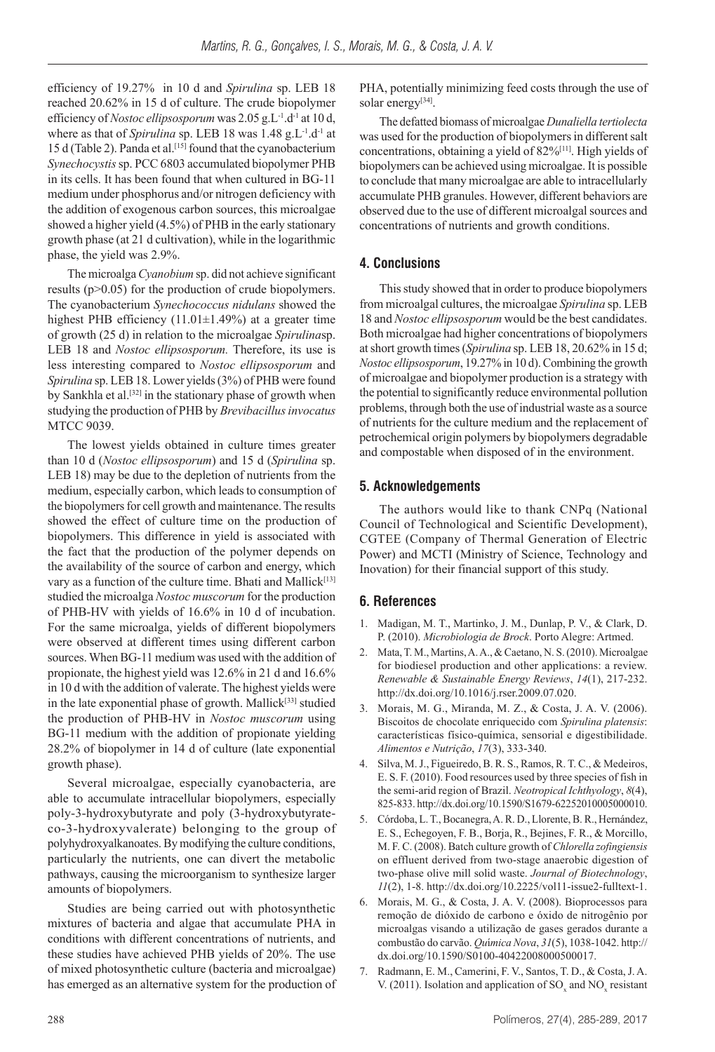efficiency of 19.27% in 10 d and *Spirulina* sp. LEB 18 reached 20.62% in 15 d of culture. The crude biopolymer efficiency of *Nostoc ellipsosporum* was 2.05 g.L-1.d-1 at 10 d, where as that of *Spirulina* sp. LEB 18 was 1.48 g.L<sup>-1</sup>.d<sup>-1</sup> at 15 d (Table 2). Panda et al.<sup>[15]</sup> found that the cyanobacterium *Synechocystis* sp. PCC 6803 accumulated biopolymer PHB in its cells. It has been found that when cultured in BG-11 medium under phosphorus and/or nitrogen deficiency with the addition of exogenous carbon sources, this microalgae showed a higher yield (4.5%) of PHB in the early stationary growth phase (at 21 d cultivation), while in the logarithmic phase, the yield was 2.9%.

The microalga *Cyanobium* sp. did not achieve significant results (p>0.05) for the production of crude biopolymers. The cyanobacterium *Synechococcus nidulans* showed the highest PHB efficiency  $(11.01 \pm 1.49\%)$  at a greater time of growth (25 d) in relation to the microalgae *Spirulina*sp. LEB 18 and *Nostoc ellipsosporum.* Therefore, its use is less interesting compared to *Nostoc ellipsosporum* and *Spirulina* sp. LEB 18. Lower yields (3%) of PHB were found by Sankhla et al.<sup>[32]</sup> in the stationary phase of growth when studying the production of PHB by *Brevibacillusinvocatus* MTCC 9039.

The lowest yields obtained in culture times greater than 10 d (*Nostoc ellipsosporum*) and 15 d (*Spirulina* sp. LEB 18) may be due to the depletion of nutrients from the medium, especially carbon, which leads to consumption of the biopolymers for cell growth and maintenance. The results showed the effect of culture time on the production of biopolymers. This difference in yield is associated with the fact that the production of the polymer depends on the availability of the source of carbon and energy, which vary as a function of the culture time. Bhati and Mallick<sup>[13]</sup> studied the microalga *Nostoc muscorum* for the production of PHB-HV with yields of 16.6% in 10 d of incubation. For the same microalga, yields of different biopolymers were observed at different times using different carbon sources. When BG-11 medium was used with the addition of propionate, the highest yield was 12.6% in 21 d and 16.6% in 10 d with the addition of valerate. The highest yields were in the late exponential phase of growth. Mallick<sup>[33]</sup> studied the production of PHB-HV in *Nostoc muscorum* using BG-11 medium with the addition of propionate yielding 28.2% of biopolymer in 14 d of culture (late exponential growth phase).

Several microalgae, especially cyanobacteria, are able to accumulate intracellular biopolymers, especially poly-3-hydroxybutyrate and poly (3-hydroxybutyrateco-3-hydroxyvalerate) belonging to the group of polyhydroxyalkanoates. By modifying the culture conditions, particularly the nutrients, one can divert the metabolic pathways, causing the microorganism to synthesize larger amounts of biopolymers.

Studies are being carried out with photosynthetic mixtures of bacteria and algae that accumulate PHA in conditions with different concentrations of nutrients, and these studies have achieved PHB yields of 20%. The use of mixed photosynthetic culture (bacteria and microalgae) has emerged as an alternative system for the production of PHA, potentially minimizing feed costs through the use of solar energy<sup>[34]</sup>.

The defatted biomass of microalgae *Dunaliella tertiolecta* was used for the production of biopolymers in different salt concentrations, obtaining a yield of  $82\%$ <sup>[11]</sup>. High yields of biopolymers can be achieved using microalgae. It is possible to conclude that many microalgae are able to intracellularly accumulate PHB granules. However, different behaviors are observed due to the use of different microalgal sources and concentrations of nutrients and growth conditions.

## **4. Conclusions**

This study showed that in order to produce biopolymers from microalgal cultures, the microalgae *Spirulina* sp. LEB 18 and *Nostoc ellipsosporum* would be the best candidates. Both microalgae had higher concentrations of biopolymers at short growth times (*Spirulina* sp. LEB 18, 20.62% in 15 d; *Nostoc ellipsosporum*, 19.27% in 10 d). Combining the growth of microalgae and biopolymer production is a strategy with the potential to significantly reduce environmental pollution problems, through both the use of industrial waste as a source of nutrients for the culture medium and the replacement of petrochemical origin polymers by biopolymers degradable and compostable when disposed of in the environment.

## **5. Acknowledgements**

The authors would like to thank CNPq (National Council of Technological and Scientific Development), CGTEE (Company of Thermal Generation of Electric Power) and MCTI (Ministry of Science, Technology and Inovation) for their financial support of this study.

## **6. References**

- 1. Madigan, M. T., Martinko, J. M., Dunlap, P. V., & Clark, D. P. (2010). *Microbiologia de Brock*. Porto Alegre: Artmed.
- 2. Mata, T. M., Martins, A. A., & Caetano, N. S. (2010). Microalgae for biodiesel production and other applications: a review. *Renewable & Sustainable Energy Reviews*, *14*(1), 217-232. http://dx.doi.org/10.1016/j.rser.2009.07.020.
- 3. Morais, M. G., Miranda, M. Z., & Costa, J. A. V. (2006). Biscoitos de chocolate enriquecido com *Spirulina platensis*: características físico-química, sensorial e digestibilidade. *Alimentos e Nutrição*, *17*(3), 333-340.
- 4. Silva, M. J., Figueiredo, B. R. S., Ramos, R. T. C., & Medeiros, E. S. F. (2010). Food resources used by three species of fish in the semi-arid region of Brazil. *Neotropical Ichthyology*, *8*(4), 825-833. http://dx.doi.org/10.1590/S1679-62252010005000010.
- 5. Córdoba, L. T., Bocanegra, A. R. D., Llorente, B. R., Hernández, E. S., Echegoyen, F. B., Borja, R., Bejines, F. R., & Morcillo, M. F. C. (2008). Batch culture growth of *Chlorella zofingiensis* on effluent derived from two-stage anaerobic digestion of two-phase olive mill solid waste. *Journal of Biotechnology*, *11*(2), 1-8. http://dx.doi.org/10.2225/vol11-issue2-fulltext-1.
- 6. Morais, M. G., & Costa, J. A. V. (2008). Bioprocessos para remoção de dióxido de carbono e óxido de nitrogênio por microalgas visando a utilização de gases gerados durante a combustão do carvão. *Qu*í*mica Nova*, *31*(5), 1038-1042. [http://](http://dx.doi.org/10.1590/S0100-40422008000500017) [dx.doi.org/10.1590/S0100-40422008000500017.](http://dx.doi.org/10.1590/S0100-40422008000500017)
- 7. Radmann, E. M., Camerini, F. V., Santos, T. D., & Costa, J. A. V. (2011). Isolation and application of  $\text{SO}_x$  and  $\text{NO}_x$  resistant